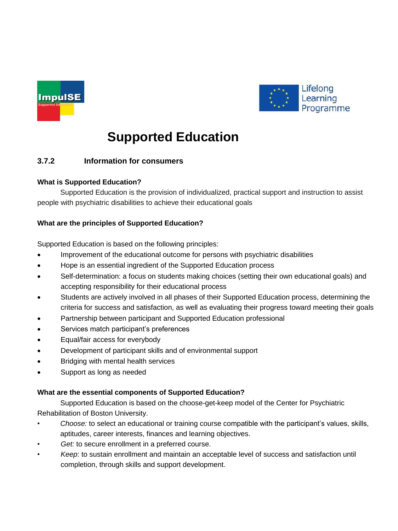



# **Supported Education**

# **3.7.2 Information for consumers**

## **What is Supported Education?**

Supported Education is the provision of individualized, practical support and instruction to assist people with psychiatric disabilities to achieve their educational goals

## **What are the principles of Supported Education?**

Supported Education is based on the following principles:

- Improvement of the educational outcome for persons with psychiatric disabilities
- Hope is an essential ingredient of the Supported Education process
- Self-determination: a focus on students making choices (setting their own educational goals) and accepting responsibility for their educational process
- Students are actively involved in all phases of their Supported Education process, determining the criteria for success and satisfaction, as well as evaluating their progress toward meeting their goals
- Partnership between participant and Supported Education professional
- Services match participant's preferences
- Equal/fair access for everybody
- Development of participant skills and of environmental support
- Bridging with mental health services
- Support as long as needed

#### **What are the essential components of Supported Education?**

Supported Education is based on the choose-get-keep model of the Center for Psychiatric Rehabilitation of Boston University.

- *Choose:* to select an educational or training course compatible with the participant's values, skills, aptitudes, career interests, finances and learning objectives.
- Get: to secure enrollment in a preferred course.
- *Keep*: to sustain enrollment and maintain an acceptable level of success and satisfaction until completion, through skills and support development.